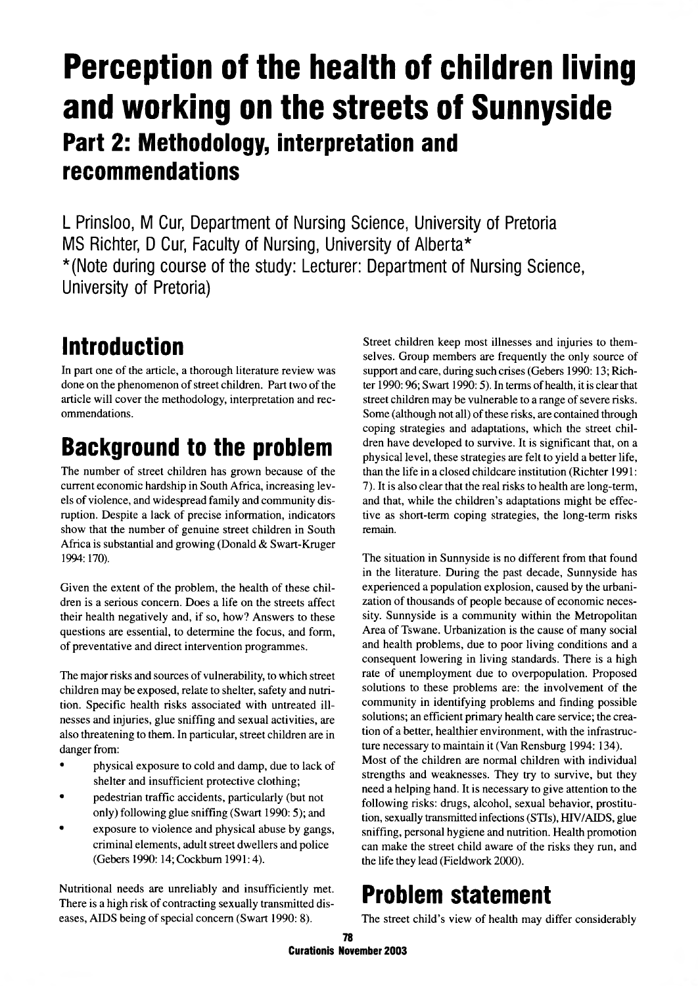# Perception of the health of children living and working on the streets of Sunnyside Part 2: Methodology, interpretation and recommendations

L Prinsloo, M Cur, Department of Nursing Science, University of Pretoria MS Richter, D Cur, Faculty of Nursing, University of Alberta\* \*(Note during course of the study: Lecturer: Department of Nursing Science, University of Pretoria)

# Introduction

In part one of the article, a thorough literature review was done on the phenomenon of street children. Part two of the article will cover the methodology, interpretation and recommendations.

# Background to the problem

The number of street children has grown because of the current economic hardship in South Africa, increasing levels of violence, and widespread family and community disruption. Despite a lack of precise information, indicators show that the number of genuine street children in South Africa is substantial and growing (Donald & Swart-Kruger 1994:170).

Given the extent of the problem, the health of these children is a serious concern. Does a life on the streets affect their health negatively and, if so, how? Answers to these questions are essential, to determine the focus, and form, of preventative and direct intervention programmes.

The major risks and sources of vulnerability, to which street children may be exposed, relate to shelter, safety and nutrition. Specific health risks associated with untreated illnesses and injuries, glue sniffing and sexual activities, are also threatening to them. In particular, street children are in danger from:

- physical exposure to cold and damp, due to lack of shelter and insufficient protective clothing;
- pedestrian traffic accidents, particularly (but not only) following glue sniffing (Swart 1990: 5); and
- exposure to violence and physical abuse by gangs, criminal elements, adult street dwellers and police (Gebers 1990:14;Cockbum 1991:4).

Nutritional needs are unreliably and insufficiently met. There is a high risk of contracting sexually transmitted diseases, AIDS being of special concern (Swart 1990: 8).

Street children keep most illnesses and injuries to themselves. Group members are frequently the only source of support and care, during such crises (Gebers 1990: 13; Richter 1990: 96; Swart 1990: 5). In terms of health, it is clear that street children may be vulnerable to a range of severe risks. Some (although not all) of these risks, are contained through coping strategies and adaptations, which the street children have developed to survive. It is significant that, on a physical level, these strategies are felt to yield a better life, than the life in a closed childcare institution (Richter 1991: 7). It is also clear that the real risks to health are long-term, and that, while the children's adaptations might be effective as short-term coping strategies, the long-term risks remain.

The situation in Sunnyside is no different from that found in the literature. During the past decade, Sunnyside has experienced a population explosion, caused by the urbanization of thousands of people because of economic necessity. Sunnyside is a community within the Metropolitan Area of Tswane. Urbanization is the cause of many social and health problems, due to poor living conditions and a consequent lowering in living standards. There is a high rate of unemployment due to overpopulation. Proposed solutions to these problems are: the involvement of the community in identifying problems and finding possible solutions; an efficient primary health care service; the creation of a better, healthier environment, with the infrastructure necessary to maintain it (Van Rensburg 1994: 134).

Most of the children are normal children with individual strengths and weaknesses. They try to survive, but they need a helping hand. It is necessary to give attention to the following risks: drugs, alcohol, sexual behavior, prostitution, sexually transmitted infections (STIs), HIV/AIDS, glue sniffing, personal hygiene and nutrition. Health promotion can make the street child aware of the risks they run, and the life they lead (Fieldwork 2000).

# Problem statement

The street child's view of health may differ considerably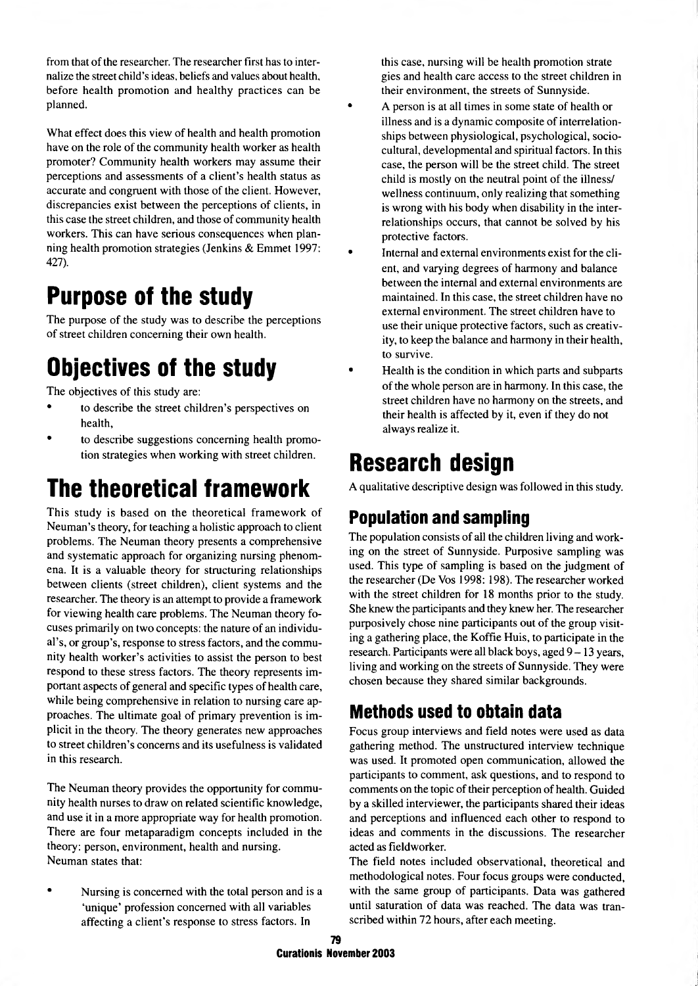from that of the researcher. The researcher first has to internalize the street child's ideas, beliefs and values about health, before health promotion and healthy practices can be planned.

What effect does this view of health and health promotion have on the role of the community health worker as health promoter? Community health workers may assume their perceptions and assessments of a client's health status as accurate and congruent with those of the client. However, discrepancies exist between the perceptions of clients, in this case the street children, and those of community health workers. This can have serious consequences when planning health promotion strategies (Jenkins & Emmet 1997: 427).

# Purpose of the study

The purpose of the study was to describe the perceptions of street children concerning their own health.

# Objectives of the study

The objectives of this study are:

- to describe the street children's perspectives on health,
- to describe suggestions concerning health promotion strategies when working with street children.

# The theoretical framework

This study is based on the theoretical framework of Neuman's theory, for teaching a holistic approach to client problems. The Neuman theory presents a comprehensive and systematic approach for organizing nursing phenomena. It is a valuable theory for structuring relationships between clients (street children), client systems and the researcher. The theory is an attempt to provide a framework for viewing health care problems. The Neuman theory focuses primarily on two concepts: the nature of an individual's, or group's, response to stress factors, and the community health worker's activities to assist the person to best respond to these stress factors. The theory represents important aspects of general and specific types of health care, while being comprehensive in relation to nursing care approaches. The ultimate goal of primary prevention is implicit in the theory. The theory generates new approaches to street children's concerns and its usefulness is validated in this research.

The Neuman theory provides the opportunity for community health nurses to draw on related scientific knowledge, and use it in a more appropriate way for health promotion. There are four metaparadigm concepts included in the theory: person, environment, health and nursing. Neuman states that:

Nursing is concerned with the total person and is a 'unique' profession concerned with all variables affecting a client's response to stress factors. In

this case, nursing will be health promotion strate gies and health care access to the street children in their environment, the streets of Sunnyside.

- A person is at all times in some state of health or illness and is a dynamic composite of interrelationships between physiological, psychological, sociocultural, developmental and spiritual factors. In this case, the person will be the street child. The street child is mostly on the neutral point of the illness/ wellness continuum, only realizing that something is wrong with his body when disability in the interrelationships occurs, that cannot be solved by his protective factors.
- Internal and external environments exist for the client, and varying degrees of harmony and balance between the internal and external environments are maintained. In this case, the street children have no external environment. The street children have to use their unique protective factors, such as creativity, to keep the balance and harmony in their health, to survive.
- Health is the condition in which parts and subparts of the whole person are in harmony. In this case, the street children have no harmony on the streets, and their health is affected by it, even if they do not always realize it.

# Research design

A qualitative descriptive design was followed in this study.

## Population and sampling

The population consists of all the children living and working on the street of Sunnyside. Purposive sampling was used. This type of sampling is based on the judgment of the researcher (De Vos 1998: 198). The researcher worked with the street children for 18 months prior to the study. She knew the participants and they knew her. The researcher purposively chose nine participants out of the group visiting a gathering place, the Koffie Huis, to participate in the research. Participants were all black boys, aged 9 - 13 years, living and working on the streets of Sunnyside. They were chosen because they shared similar backgrounds.

## Methods used to obtain data

Focus group interviews and field notes were used as data gathering method. The unstructured interview technique was used. It promoted open communication, allowed the participants to comment, ask questions, and to respond to comments on the topic of their perception of health. Guided by a skilled interviewer, the participants shared their ideas and perceptions and influenced each other to respond to ideas and comments in the discussions. The researcher acted as fieldworker.

The field notes included observational, theoretical and methodological notes. Four focus groups were conducted, with the same group of participants. Data was gathered until saturation of data was reached. The data was transcribed within 72 hours, after each meeting.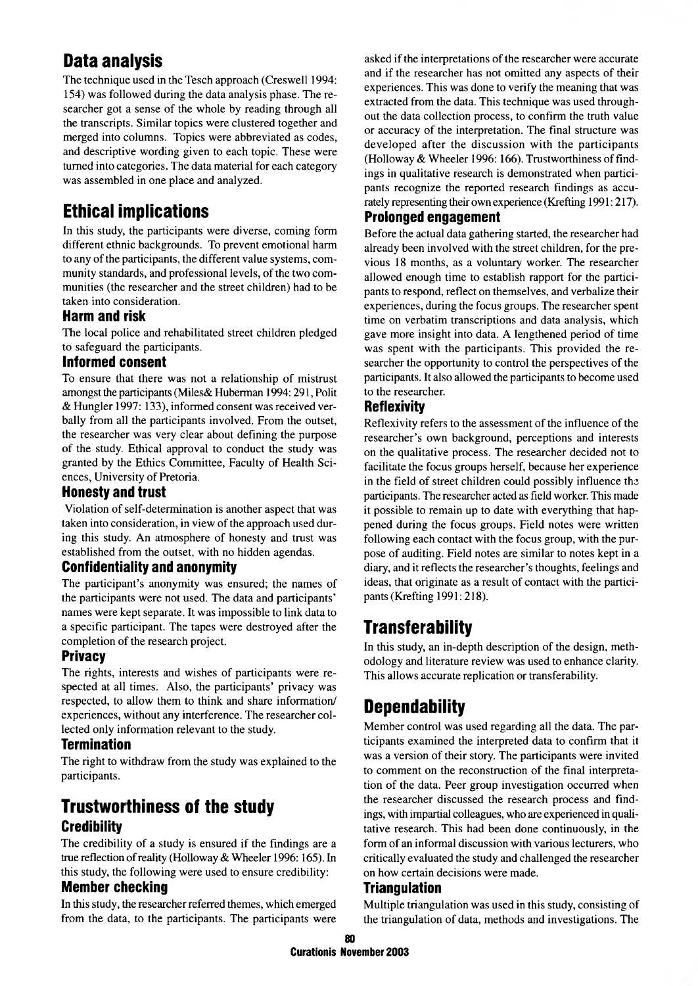## Data analysis

The technique used in the Tesch approach (Creswell 1994: 154) was followed during the data analysis phase. The researcher got a sense of the whole by reading through all the transcripts. Similar topics were clustered together and merged into columns. Topics were abbreviated as codes, and descriptive wording given to each topic. These were turned into categories. The data material for each category was assembled in one place and analyzed.

## Ethical implications

In this study, the participants were diverse, coming form different ethnic backgrounds. To prevent emotional harm to any of the participants, the different value systems, community standards, and professional levels, of the two communities (the researcher and the street children) had to be taken into consideration.

## Harm and risk

The local police and rehabilitated street children pledged to safeguard the participants.

### Inform ed consent

To ensure that there was not a relationship of mistrust amongst the participants (Miles& Huberman 1994:291, Polit & Hungler 1997: 133), informed consent was received verbally from all the participants involved. From the outset, the researcher was very clear about defining the purpose of the study. Ethical approval to conduct the study was granted by the Ethics Committee, Faculty of Health Sciences, University of Pretoria.

### Honesty and trust

Violation of self-determination is another aspect that was taken into consideration, in view of the approach used during this study. An atmosphere of honesty and trust was established from the outset, with no hidden agendas.

#### **Confidentiality and anonymity**

The participant's anonymity was ensured; the names of the participants were not used. The data and participants' names were kept separate. It was impossible to link data to a specific participant. The tapes were destroyed after the completion of the research project.

### Privacy

The rights, interests and wishes of participants were respected at all times. Also, the participants' privacy was respected, to allow them to think and share information/ experiences, without any interference. The researcher collected only information relevant to the study.

### **Termination**

The right to withdraw from the study was explained to the participants.

## Trustworthiness of the study **Credibility**

The credibility of a study is ensured if the findings are a true reflection of reality (Holloway & Wheeler 1996:165). In this study, the following were used to ensure credibility:

### **Member checking**

In this study, the researcher referred themes, which emerged from the data, to the participants. The participants were asked if the interpretations of the researcher were accurate and if the researcher has not omitted any aspects of their experiences. This was done to verify the meaning that was extracted from the data. This technique was used throughout the data collection process, to confirm the truth value or accuracy of the interpretation. The final structure was developed after the discussion with the participants (Holloway & Wheeler 1996:166). Trustworthiness of findings in qualitative research is demonstrated when participants recognize the reported research findings as accurately representing their own experience (Krefting 1991: 217).

## Prolonged engagement

Before the actual data gathering started, the researcher had already been involved with the street children, for the previous 18 months, as a voluntary worker. The researcher allowed enough time to establish rapport for the participants to respond, reflect on themselves, and verbalize their experiences, during the focus groups. The researcher spent time on verbatim transcriptions and data analysis, which gave more insight into data. A lengthened period of time was spent with the participants. This provided the researcher the opportunity to control the perspectives of the participants. It also allowed the participants to become used to the researcher.

### Reflexivity

Reflexivity refers to the assessment of the influence of the researcher's own background, perceptions and interests on the qualitative process. The researcher decided not to facilitate the focus groups herself, because her experience in the field of street children could possibly influence the participants. The researcher acted as field worker. This made it possible to remain up to date with everything that happened during the focus groups. Field notes were written following each contact with the focus group, with the purpose of auditing. Field notes are similar to notes kept in a diary, and it reflects the researcher's thoughts, feelings and ideas, that originate as a result of contact with the participants (Krefting 1991:218).

## **Transferability**

In this study, an in-depth description of the design, methodology and literature review was used to enhance clarity. This allows accurate replication or transferability.

## **Dependability**

Member control was used regarding all the data. The participants examined the interpreted data to confirm that it was a version of their story. The participants were invited to comment on the reconstruction of the final interpretation of the data. Peer group investigation occurred when the researcher discussed the research process and findings, with impartial colleagues, who are experienced in qualitative research. This had been done continuously, in the form of an informal discussion with various lecturers, who critically evaluated the study and challenged the researcher on how certain decisions were made.

### **Triangulation**

Multiple triangulation was used in this study, consisting of the triangulation of data, methods and investigations. The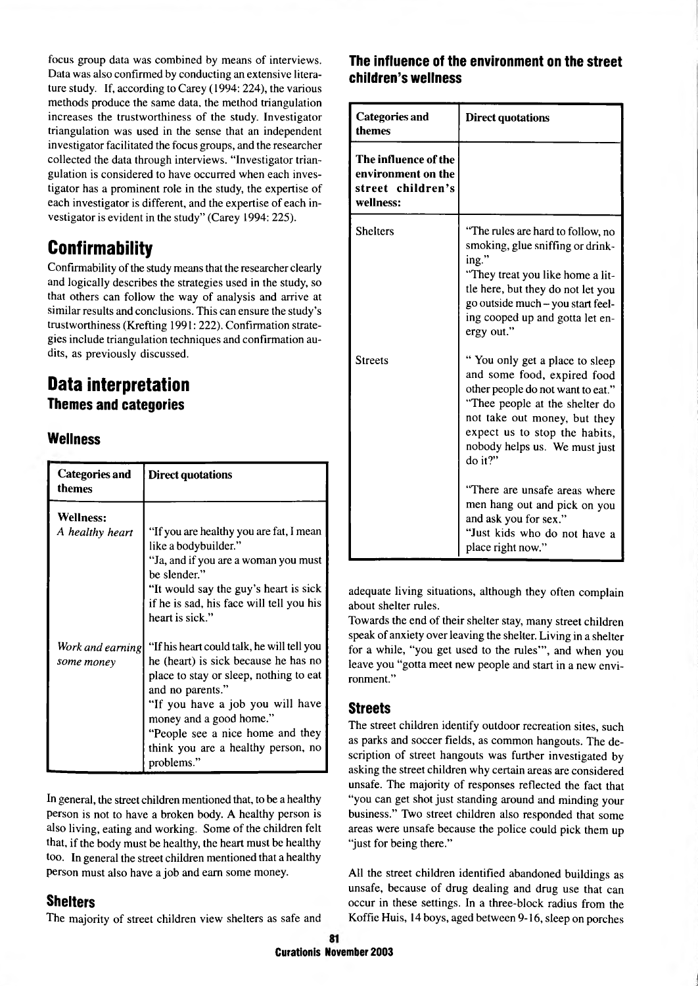focus group data was combined by means of interviews. Data was also confirmed by conducting an extensive literature study. If, according to Carey (1994: 224), the various methods produce the same data, the method triangulation increases the trustworthiness of the study. Investigator triangulation was used in the sense that an independent investigator facilitated the focus groups, and the researcher collected the data through interviews. "Investigator triangulation is considered to have occurred when each investigator has a prominent role in the study, the expertise of each investigator is different, and the expertise of each investigator is evident in the study" (Carey 1994: 225).

## **Confirmability**

Confirmability of the study means that the researcher clearly and logically describes the strategies used in the study, so that others can follow the way of analysis and arrive at similar results and conclusions. This can ensure the study's trustworthiness (Krefting 1991: 222). Confirmation strategies include triangulation techniques and confirmation audits, as previously discussed.

## Data interpretation **Themes and categories**

## Wellness

| Categories and<br>themes | <b>Direct quotations</b>                                        |
|--------------------------|-----------------------------------------------------------------|
| <b>Wellness:</b>         |                                                                 |
| A healthy heart          | "If you are healthy you are fat, I mean<br>like a bodybuilder." |
|                          | "Ja, and if you are a woman you must<br>be slender."            |
|                          | "It would say the guy's heart is sick                           |
|                          | if he is sad, his face will tell you his<br>heart is sick."     |
| Work and earning         | "If his heart could talk, he will tell you                      |
| some money               | he (heart) is sick because he has no                            |
|                          | place to stay or sleep, nothing to eat<br>and no parents."      |
|                          | "If you have a job you will have                                |
|                          | money and a good home."<br>"People see a nice home and they     |
|                          | think you are a healthy person, no                              |
|                          | problems."                                                      |

In general, the street children mentioned that, to be a healthy person is not to have a broken body. A healthy person is also living, eating and working. Some of the children felt that, if the body must be healthy, the heart must be healthy too. In general the street children mentioned that a healthy person must also have a job and earn some money.

### Shelters

The majority of street children view shelters as safe and

## The influence of the environment on the street children's wellness

| <b>Categories and</b><br>themes                                              | <b>Direct quotations</b>                                                                                                                                                                                                                          |
|------------------------------------------------------------------------------|---------------------------------------------------------------------------------------------------------------------------------------------------------------------------------------------------------------------------------------------------|
| The influence of the<br>environment on the<br>street children's<br>wellness: |                                                                                                                                                                                                                                                   |
| <b>Shelters</b>                                                              | "The rules are hard to follow, no<br>smoking, glue sniffing or drink-<br>ing."<br>"They treat you like home a lit-<br>tle here, but they do not let you<br>go outside much - you start feel-<br>ing cooped up and gotta let en-<br>ergy out."     |
| Streets                                                                      | "You only get a place to sleep<br>and some food, expired food<br>other people do not want to eat."<br>"Thee people at the shelter do<br>not take out money, but they<br>expect us to stop the habits,<br>nobody helps us. We must just<br>do it?" |
|                                                                              | "There are unsafe areas where<br>men hang out and pick on you<br>and ask you for sex."<br>"Just kids who do not have a<br>place right now."                                                                                                       |

adequate living situations, although they often complain about shelter rules.

Towards the end of their shelter stay, many street children speak of anxiety over leaving the shelter. Living in a shelter for a while, "you get used to the rules'", and when you leave you "gotta meet new people and start in a new environment."

### Streets

The street children identify outdoor recreation sites, such as parks and soccer fields, as common hangouts. The description of street hangouts was further investigated by asking the street children why certain areas are considered unsafe. The majority of responses reflected the fact that "you can get shot just standing around and minding your business." Two street children also responded that some areas were unsafe because the police could pick them up "just for being there."

All the street children identified abandoned buildings as unsafe, because of drug dealing and drug use that can occur in these settings. In a three-block radius from the Koffie Huis, 14 boys, aged between 9-16, sleep on porches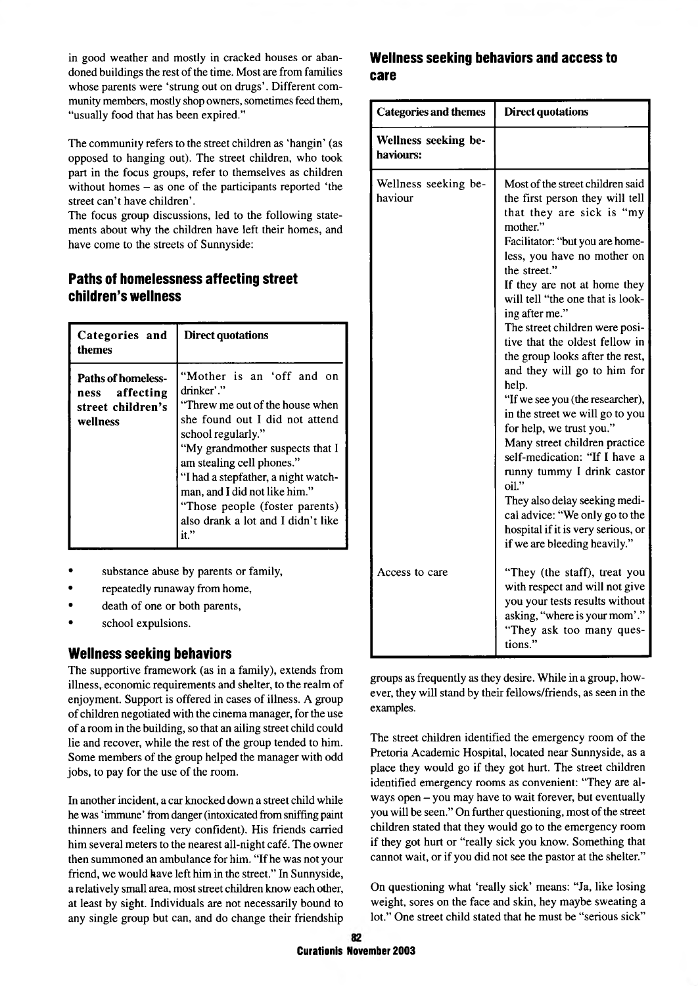in good weather and mostly in cracked houses or abandoned buildings the rest of the time. Most are from families whose parents were 'strung out on drugs'. Different community members, mostly shop owners, sometimes feed them, "usually food that has been expired."

The community refers to the street children as 'hangin' (as opposed to hanging out). The street children, who took part in the focus groups, refer to themselves as children without homes - as one of the participants reported 'the street can't have children'.

The focus group discussions, led to the following statements about why the children have left their homes, and have come to the streets of Sunnyside:

## Paths of homelessness affecting street children's wellness

| Categories and<br>themes                                                     | Direct quotations                                                                                                                                                                                                                                                                                                                                          |
|------------------------------------------------------------------------------|------------------------------------------------------------------------------------------------------------------------------------------------------------------------------------------------------------------------------------------------------------------------------------------------------------------------------------------------------------|
| <b>Paths of homeless-</b><br>ness affecting<br>street children's<br>wellness | "Mother is an 'off and on<br>drinker'."<br>"Threw me out of the house when<br>she found out I did not attend<br>school regularly."<br>"My grandmother suspects that I<br>am stealing cell phones."<br>"I had a stepfather, a night watch-<br>man, and I did not like him."<br>"Those people (foster parents)<br>also drank a lot and I didn't like<br>it." |

- substance abuse by parents or family,
- repeatedly runaway from home,
- death of one or both parents,
- school expulsions.

## Wellness seeking behaviors

The supportive framework (as in a family), extends from illness, economic requirements and shelter, to the realm of enjoyment. Support is offered in cases of illness. A group of children negotiated with the cinema manager, for the use of a room in the building, so that an ailing street child could lie and recover, while the rest of the group tended to him. Some members of the group helped the manager with odd jobs, to pay for the use of the room.

In another incident, a car knocked down a street child while he was 'immune' from danger (intoxicated from sniffing paint thinners and feeling very confident). His friends carried him several meters to the nearest all-night café. The owner then summoned an ambulance for him. "If he was not your friend, we would have left him in the street." In Sunnyside, a relatively small area, most street children know each other, at least by sight. Individuals are not necessarily bound to any single group but can, and do change their friendship

### Wellness seeking behaviors and access to care

| <b>Categories and themes</b>      | <b>Direct quotations</b>                                                                                                                                                                                                                                                                                                                                                                                                                                                                                                                                                                                                                                                                                                                                                                 |
|-----------------------------------|------------------------------------------------------------------------------------------------------------------------------------------------------------------------------------------------------------------------------------------------------------------------------------------------------------------------------------------------------------------------------------------------------------------------------------------------------------------------------------------------------------------------------------------------------------------------------------------------------------------------------------------------------------------------------------------------------------------------------------------------------------------------------------------|
| Wellness seeking be-<br>haviours: |                                                                                                                                                                                                                                                                                                                                                                                                                                                                                                                                                                                                                                                                                                                                                                                          |
| Wellness seeking be-<br>haviour   | Most of the street children said<br>the first person they will tell<br>that they are sick is "my<br>mother."<br>Facilitator: "but you are home-<br>less, you have no mother on<br>the street."<br>If they are not at home they<br>will tell "the one that is look-<br>ing after me."<br>The street children were posi-<br>tive that the oldest fellow in<br>the group looks after the rest,<br>and they will go to him for<br>help.<br>"If we see you (the researcher),<br>in the street we will go to you<br>for help, we trust you."<br>Many street children practice<br>self-medication: "If I have a<br>runny tummy I drink castor<br>oil."<br>They also delay seeking medi-<br>cal advice: "We only go to the<br>hospital if it is very serious, or<br>if we are bleeding heavily." |
| Access to care                    | "They (the staff), treat you<br>with respect and will not give<br>you your tests results without<br>asking, "where is your mom'."<br>"They ask too many ques-<br>tions."                                                                                                                                                                                                                                                                                                                                                                                                                                                                                                                                                                                                                 |

groups as frequently as they desire. While in a group, however, they will stand by their fellows/friends, as seen in the examples.

The street children identified the emergency room of the Pretoria Academic Hospital, located near Sunnyside, as a place they would go if they got hurt. The street children identified emergency rooms as convenient: "They are always open - you may have to wait forever, but eventually you will be seen." On further questioning, most of the street children stated that they would go to the emergency room if they got hurt or "really sick you know. Something that cannot wait, or if you did not see the pastor at the shelter."

On questioning what 'really sick' means: "Ja, like losing weight, sores on the face and skin, hey maybe sweating a lot." One street child stated that he must be "serious sick"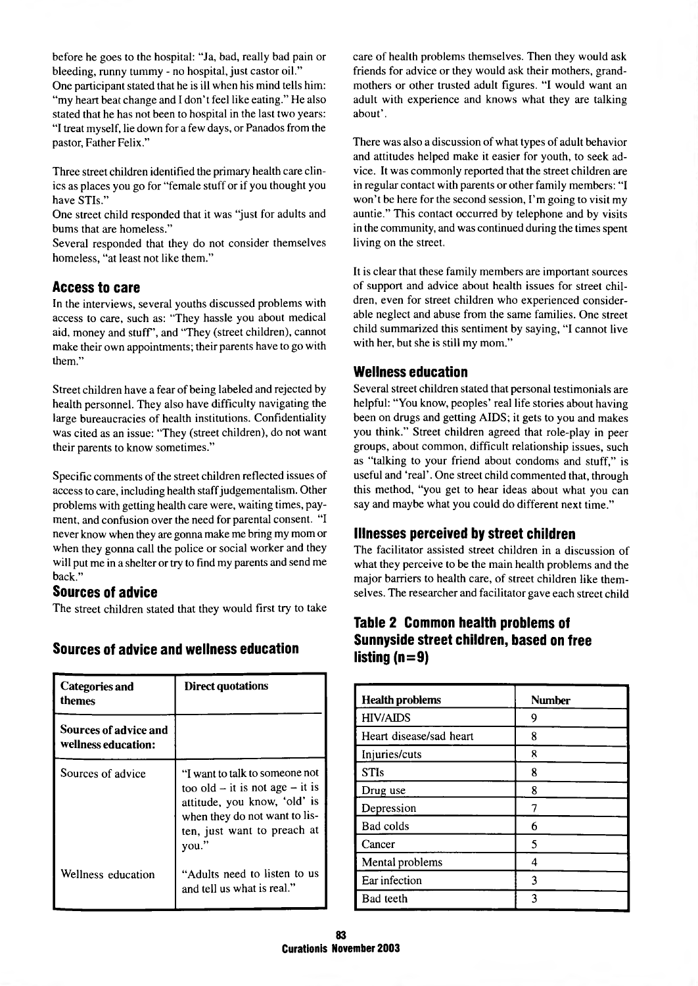before he goes to the hospital: "Ja, bad, really bad pain or bleeding, runny tummy - no hospital, just castor oil." One participant stated that he is ill when his mind tells him: "my heart beat change and I don't feel like eating." He also stated that he has not been to hospital in the last two years: "I treat myself, lie down for a few days, or Panados from the pastor, Father Felix."

Three street children identified the primary health care clinics as places you go for "female stuff or if you thought you have STIs."

One street child responded that it was "just for adults and bums that are homeless."

Several responded that they do not consider themselves homeless, "at least not like them."

#### Access to care

In the interviews, several youths discussed problems with access to care, such as: "They hassle you about medical aid, money and stuff", and "They (street children), cannot make their own appointments; their parents have to go with them."

Street children have a fear of being labeled and rejected by health personnel. They also have difficulty navigating the large bureaucracies of health institutions. Confidentiality was cited as an issue: "They (street children), do not want their parents to know sometimes."

Specific comments of the street children reflected issues of access to care, including health staff judgementalism. Other problems with getting health care were, waiting times, payment, and confusion over the need for parental consent. "I never know when they are gonna make me bring my mom or when they gonna call the police or social worker and they will put me in a shelter or try to find my parents and send me back."

#### Sources of advice

The street children stated that they would first try to take

| Categories and<br>themes                     | <b>Direct quotations</b>                                                                                                                                                       |
|----------------------------------------------|--------------------------------------------------------------------------------------------------------------------------------------------------------------------------------|
| Sources of advice and<br>wellness education: |                                                                                                                                                                                |
| Sources of advice                            | "I want to talk to someone not<br>too old $-$ it is not age $-$ it is<br>attitude, you know, 'old' is<br>when they do not want to lis-<br>ten, just want to preach at<br>vou." |
| Wellness education                           | "Adults need to listen to us<br>and tell us what is real."                                                                                                                     |

#### Sources of advice and wellness education

care of health problems themselves. Then they would ask friends for advice or they would ask their mothers, grandmothers or other trusted adult figures. "I would want an adult with experience and knows what they are talking about'.

There was also a discussion of what types of adult behavior and attitudes helped make it easier for youth, to seek advice. It was commonly reported that the street children are in regular contact with parents or other family members: "I won't be here for the second session, I'm going to visit my auntie." This contact occurred by telephone and by visits in the community, and was continued during the times spent living on the street.

It is clear that these family members are important sources of support and advice about health issues for street children, even for street children who experienced considerable neglect and abuse from the same families. One street child summarized this sentiment by saying, "I cannot live with her, but she is still my mom."

## **Wellness education**

Several street children stated that personal testimonials are helpful: "You know, peoples' real life stories about having been on drugs and getting AIDS; it gets to you and makes you think." Street children agreed that role-play in peer groups, about common, difficult relationship issues, such as "talking to your friend about condoms and stuff," is useful and 'real'. One street child commented that, through this method, "you get to hear ideas about what you can say and maybe what you could do different next time."

## Illnesses perceived by street children

The facilitator assisted street children in a discussion of what they perceive to be the main health problems and the major barriers to health care, of street children like themselves. The researcher and facilitator gave each street child

## Table 2 Common health problems of Sunnyside street children, based on free listing ( $n = 9$ )

| <b>Health problems</b>  | <b>Number</b> |
|-------------------------|---------------|
| <b>HIV/AIDS</b>         | 9             |
| Heart disease/sad heart | 8             |
| Injuries/cuts           | ጸ             |
| <b>STIs</b>             | 8             |
| Drug use                | 8             |
| Depression              |               |
| Bad colds               | 6             |
| Cancer                  | 5             |
| Mental problems         | 4             |
| Ear infection           | 3             |
| Bad teeth               | ٩             |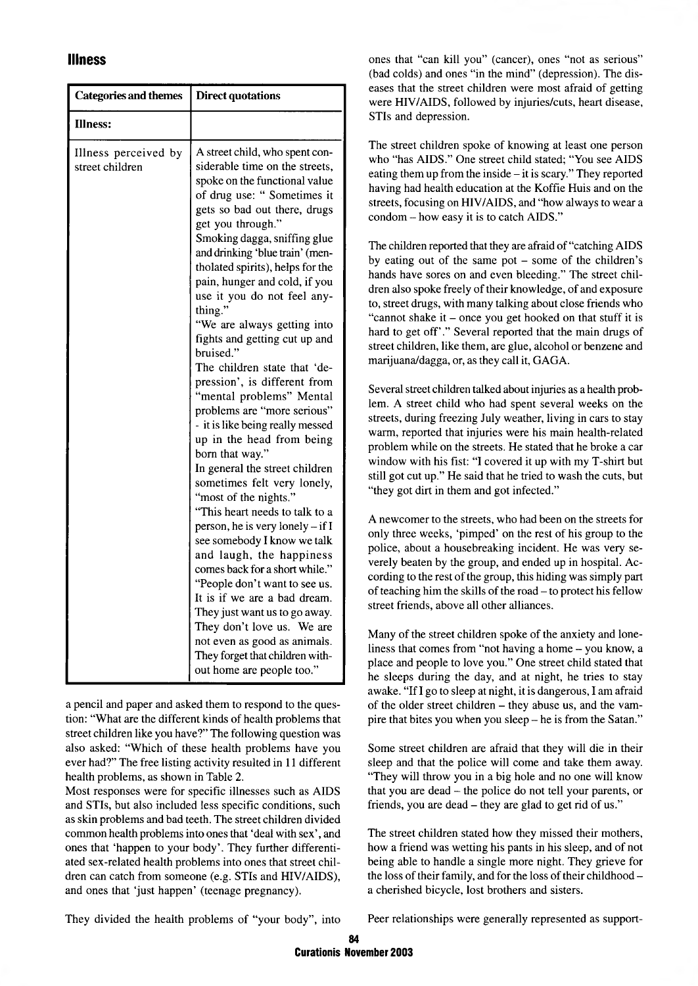### Illness

| <b>Categories and themes</b>            | <b>Direct quotations</b>                                                                                                                                                                                                                                                                                                                                                                                                                                                                                                                                                                                                                                                                                                                                                                                                                                                                                                                                                                                                                                                                                                                                         |
|-----------------------------------------|------------------------------------------------------------------------------------------------------------------------------------------------------------------------------------------------------------------------------------------------------------------------------------------------------------------------------------------------------------------------------------------------------------------------------------------------------------------------------------------------------------------------------------------------------------------------------------------------------------------------------------------------------------------------------------------------------------------------------------------------------------------------------------------------------------------------------------------------------------------------------------------------------------------------------------------------------------------------------------------------------------------------------------------------------------------------------------------------------------------------------------------------------------------|
| <b>Illness:</b>                         |                                                                                                                                                                                                                                                                                                                                                                                                                                                                                                                                                                                                                                                                                                                                                                                                                                                                                                                                                                                                                                                                                                                                                                  |
| Illness perceived by<br>street children | A street child, who spent con-<br>siderable time on the streets,<br>spoke on the functional value<br>of drug use: " Sometimes it<br>gets so bad out there, drugs<br>get you through."<br>Smoking dagga, sniffing glue<br>and drinking 'blue train' (men-<br>tholated spirits), helps for the<br>pain, hunger and cold, if you<br>use it you do not feel any-<br>thing."<br>"We are always getting into<br>fights and getting cut up and<br>bruised."<br>The children state that 'de-<br>pression', is different from<br>"mental problems" Mental<br>problems are "more serious"<br>- it is like being really messed<br>up in the head from being<br>born that way."<br>In general the street children<br>sometimes felt very lonely,<br>"most of the nights."<br>"This heart needs to talk to a<br>person, he is very lonely - if I<br>see somebody I know we talk<br>and laugh, the happiness<br>comes back for a short while."<br>"People don't want to see us.<br>It is if we are a bad dream.<br>They just want us to go away.<br>They don't love us. We are<br>not even as good as animals.<br>They forget that children with-<br>out home are people too." |

a pencil and paper and asked them to respond to the question: "What are the different kinds of health problems that street children like you have?" The following question was also asked: "W hich of these health problems have you ever had?" The free listing activity resulted in 11 different health problems, as shown in Table 2.

Most responses were for specific illnesses such as AIDS and STIs, but also included less specific conditions, such as skin problems and bad teeth. The street children divided common health problems into ones that 'deal with sex', and ones that 'happen to your body'. They further differentiated sex-related health problems into ones that street children can catch from someone (e.g. STIs and HIV/AIDS), and ones that 'just happen' (teenage pregnancy).

ones that "can kill you" (cancer), ones "not as serious" (bad colds) and ones "in the mind" (depression). The diseases that the street children were most afraid of getting were HIV/AIDS, followed by injuries/cuts, heart disease, STIs and depression.

The street children spoke of knowing at least one person who "has AIDS." One street child stated; "You see AIDS eating them up from the inside  $-$  it is scary." They reported having had health education at the Koffie Huis and on the streets, focusing on HIV/AIDS, and "how always to wear a condom - how easy it is to catch AIDS."

The children reported that they are afraid of "catching AIDS by eating out of the same pot - some of the children's hands have sores on and even bleeding." The street children also spoke freely of their knowledge, of and exposure to, street drugs, with many talking about close friends who "cannot shake it – once you get hooked on that stuff it is hard to get off'." Several reported that the main drugs of street children, like them, are glue, alcohol or benzene and marijuana/dagga, or, as they call it, GAGA.

Several street children talked about injuries as a health problem. A street child who had spent several weeks on the streets, during freezing July weather, living in cars to stay warm, reported that injuries were his main health-related problem while on the streets. He stated that he broke a car window with his fist: "I covered it up with my T-shirt but still got cut up." He said that he tried to wash the cuts, but "they got dirt in them and got infected."

A newcomer to the streets, who had been on the streets for only three weeks, 'pimped' on the rest of his group to the police, about a housebreaking incident. He was very severely beaten by the group, and ended up in hospital. According to the rest of the group, this hiding was simply part of teaching him the skills of the road - to protect his fellow street friends, above all other alliances.

Many of the street children spoke of the anxiety and loneliness that comes from "not having a home - you know, a place and people to love you." One street child stated that he sleeps during the day, and at night, he tries to stay awake. "If I go to sleep at night, it is dangerous, I am afraid of the older street children - they abuse us, and the vampire that bites you when you sleep - he is from the Satan."

Some street children are afraid that they will die in their sleep and that the police will come and take them away. "They will throw you in a big hole and no one will know that you are dead - the police do not tell your parents, or friends, you are dead – they are glad to get rid of us."

The street children stated how they missed their mothers, how a friend was wetting his pants in his sleep, and of not being able to handle a single more night. They grieve for the loss of their family, and for the loss of their childhood a cherished bicycle, lost brothers and sisters.

They divided the health problems of "your body", into

Peer relationships were generally represented as support-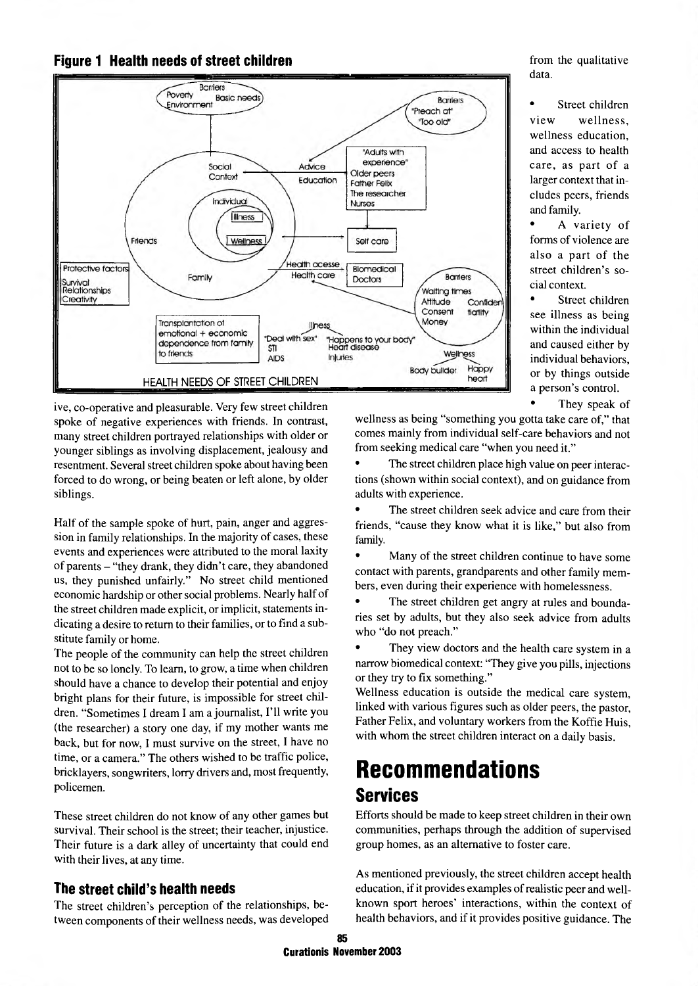



ive, co-operative and pleasurable. Very few street children spoke of negative experiences with friends. In contrast, many street children portrayed relationships with older or younger siblings as involving displacement, jealousy and resentment. Several street children spoke about having been forced to do wrong, or being beaten or left alone, by older siblings.

Half of the sample spoke of hurt, pain, anger and aggression in family relationships. In the majority of cases, these events and experiences were attributed to the moral laxity of parents - "they drank, they didn't care, they abandoned us, they punished unfairly." No street child mentioned economic hardship or other social problems. Nearly half of the street children made explicit, or implicit, statements indicating a desire to return to their families, or to find a substitute family or home.

The people of the community can help the street children not to be so lonely. To learn, to grow, a time when children should have a chance to develop their potential and enjoy bright plans for their future, is impossible for street children. "Sometimes I dream I am a journalist, I'll write you (the researcher) a story one day, if my mother wants me back, but for now, I must survive on the street, I have no time, or a camera." The others wished to be traffic police, bricklayers, songwriters, lorry drivers and, most frequently, policemen.

These street children do not know of any other games but survival. Their school is the street; their teacher, injustice. Their future is a dark alley of uncertainty that could end with their lives, at any time.

## The street child's health needs

The street children's perception of the relationships, between components of their wellness needs, was developed from the qualitative data.

• Street children view wellness. wellness education, and access to health care, as part of a larger context that includes peers, friends and family.

A variety of forms of violence are also a part of the street children's social context.

• Street children see illness as being within the individual and caused either by individual behaviors, or by things outside a person's control.

They speak of

wellness as being "something you gotta take care of," that comes mainly from individual self-care behaviors and not from seeking medical care "when you need it."

The street children place high value on peer interactions (shown within social context), and on guidance from adults with experience.

The street children seek advice and care from their friends, "cause they know what it is like," but also from family.

• Many of the street children continue to have some contact with parents, grandparents and other family members, even during their experience with homelessness.

The street children get angry at rules and boundaries set by adults, but they also seek advice from adults who "do not preach."

They view doctors and the health care system in a narrow biomedical context: "They give you pills, injections or they try to fix something."

Wellness education is outside the medical care system, linked with various figures such as older peers, the pastor, Father Felix, and voluntary workers from the Koffie Huis, with whom the street children interact on a daily basis.

## **Recommendations** Services

Efforts should be made to keep street children in their own communities, perhaps through the addition of supervised group homes, as an alternative to foster care.

As mentioned previously, the street children accept health education, if it provides examples of realistic peer and wellknown sport heroes' interactions, within the context of health behaviors, and if it provides positive guidance. The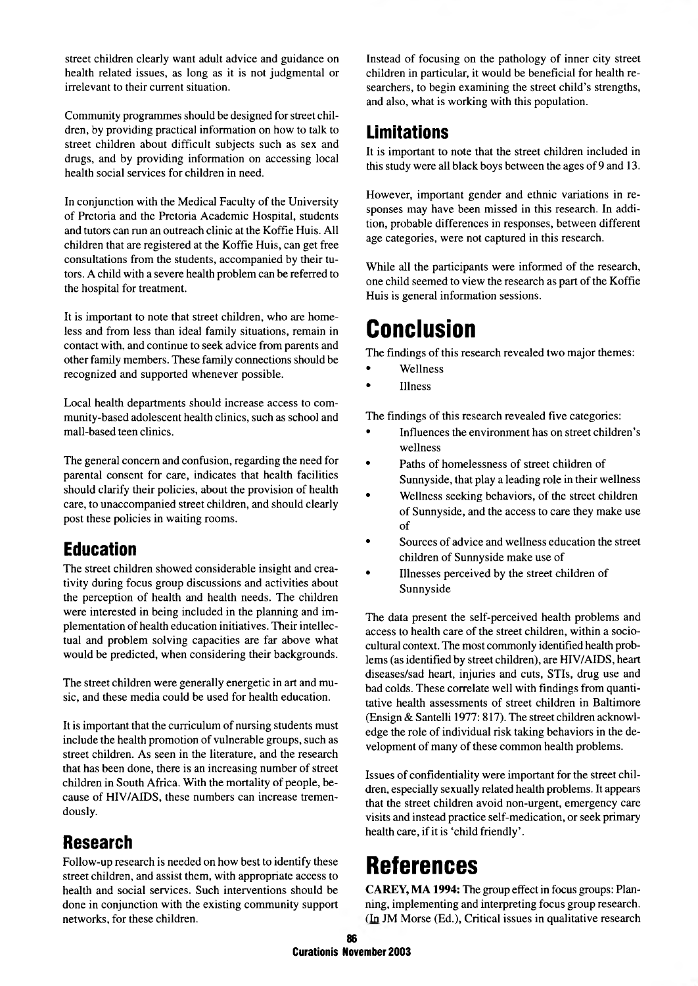street children clearly want adult advice and guidance on health related issues, as long as it is not judgmental or irrelevant to their current situation.

Community programmes should be designed for street children, by providing practical information on how to talk to street children about difficult subjects such as sex and drugs, and by providing information on accessing local health social services for children in need.

In conjunction with the Medical Faculty of the University of Pretoria and the Pretoria Academic Hospital, students and tutors can run an outreach clinic at the Koffie Huis. All children that are registered at the Koffie Huis, can get free consultations from the students, accompanied by their tutors. A child with a severe health problem can be referred to the hospital for treatment.

It is important to note that street children, who are homeless and from less than ideal family situations, remain in contact with, and continue to seek advice from parents and other family members. These family connections should be recognized and supported whenever possible.

Local health departments should increase access to community-based adolescent health clinics, such as school and mall-based teen clinics.

The general concern and confusion, regarding the need for parental consent for care, indicates that health facilities should clarify their policies, about the provision of health care, to unaccompanied street children, and should clearly post these policies in waiting rooms.

## Education

The street children showed considerable insight and creativity during focus group discussions and activities about the perception of health and health needs. The children were interested in being included in the planning and implementation of health education initiatives. Their intellectual and problem solving capacities are far above what would be predicted, when considering their backgrounds.

The street children were generally energetic in art and music, and these media could be used for health education.

It is important that the curriculum of nursing students must include the health promotion of vulnerable groups, such as street children. As seen in the literature, and the research that has been done, there is an increasing number of street children in South Africa. With the mortality of people, because of HIV/AIDS, these numbers can increase tremendously.

## Research

Follow-up research is needed on how best to identify these street children, and assist them, with appropriate access to health and social services. Such interventions should be done in conjunction with the existing community support networks, for these children.

Instead of focusing on the pathology of inner city street children in particular, it would be beneficial for health researchers, to begin examining the street child's strengths, and also, what is working with this population.

## **Limitations**

It is important to note that the street children included in this study were all black boys between the ages of 9 and 13.

However, important gender and ethnic variations in responses may have been missed in this research. In addition, probable differences in responses, between different age categories, were not captured in this research.

While all the participants were informed of the research, one child seemed to view the research as part of the Koffie Huis is general information sessions.

## Conclusion

The findings of this research revealed two major themes:

- Wellness
- Illness

The findings of this research revealed five categories:

- Influences the environment has on street children's wellness
- Paths of homelessness of street children of Sunnyside, that play a leading role in their wellness
- Wellness seeking behaviors, of the street children of Sunnyside, and the access to care they make use of
- Sources of advice and wellness education the street children of Sunnyside make use of
- Illnesses perceived by the street children of Sunnyside

The data present the self-perceived health problems and access to health care of the street children, within a sociocultural context. The most commonly identified health problems (as identified by street children), are HIV/AIDS, heart diseases/sad heart, injuries and cuts, STIs, drug use and bad colds. These correlate well with findings from quantitative health assessments of street children in Baltimore (Ensign & Santelli 1977: 817). The street children acknowledge the role of individual risk taking behaviors in the development of many of these common health problems.

Issues of confidentiality were important for the street children, especially sexually related health problems. It appears that the street children avoid non-urgent, emergency care visits and instead practice self-medication, or seek primary health care, if it is 'child friendly'.

## References

CAREY, MA 1994: The group effect in focus groups: Planning, implementing and interpreting focus group research. (In JM Morse (Ed.), Critical issues in qualitative research